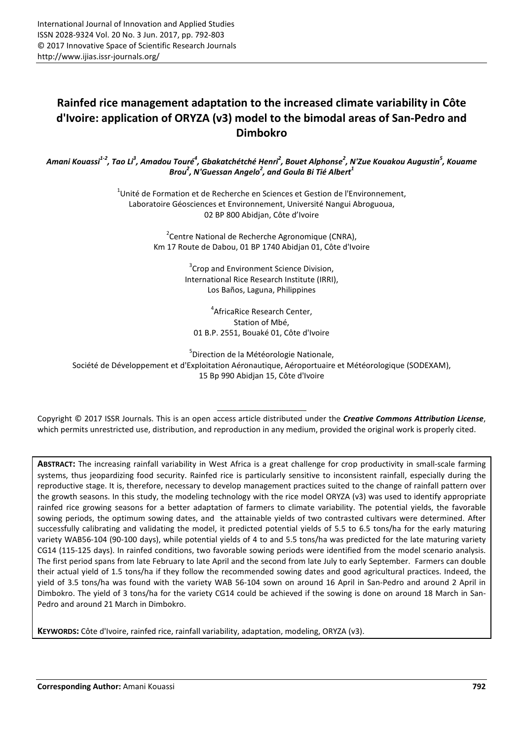# **Rainfed rice management adaptation to the increased climate variability in Côte d'Ivoire: application of ORYZA (v3) model to the bimodal areas of San-Pedro and Dimbokro**

Amani Kouassi<sup>1-2</sup>, Tao Li<sup>3</sup>, Amadou Touré<sup>4</sup>, Gbakatchétché Henri<sup>2</sup>, Bouet Alphonse<sup>2</sup>, N'Zue Kouakou Augustin<sup>5</sup>, Kouame *Brou<sup>2</sup> , N'Guessan Angelo<sup>2</sup> , and Goula Bi Tié Albert<sup>1</sup>*

> $^{1}$ Unité de Formation et de Recherche en Sciences et Gestion de l'Environnement, Laboratoire Géosciences et Environnement, Université Nangui Abroguoua, 02 BP 800 Abidjan, Côte d'Ivoire

> > <sup>2</sup> Centre National de Recherche Agronomique (CNRA), Km 17 Route de Dabou, 01 BP 1740 Abidjan 01, Côte d'Ivoire

> > > <sup>3</sup> Crop and Environment Science Division, International Rice Research Institute (IRRI), Los Baños, Laguna, Philippines

4 AfricaRice Research Center, Station of Mbé, 01 B.P. 2551, Bouaké 01, Côte d'Ivoire

<sup>5</sup>Direction de la Météorologie Nationale,

Société de Développement et d'Exploitation Aéronautique, Aéroportuaire et Météorologique (SODEXAM), 15 Bp 990 Abidjan 15, Côte d'Ivoire

Copyright © 2017 ISSR Journals. This is an open access article distributed under the *Creative Commons Attribution License*, which permits unrestricted use, distribution, and reproduction in any medium, provided the original work is properly cited.

**ABSTRACT:** The increasing rainfall variability in West Africa is a great challenge for crop productivity in small-scale farming systems, thus jeopardizing food security. Rainfed rice is particularly sensitive to inconsistent rainfall, especially during the reproductive stage. It is, therefore, necessary to develop management practices suited to the change of rainfall pattern over the growth seasons. In this study, the modeling technology with the rice model ORYZA (v3) was used to identify appropriate rainfed rice growing seasons for a better adaptation of farmers to climate variability. The potential yields, the favorable sowing periods, the optimum sowing dates, and the attainable yields of two contrasted cultivars were determined. After successfully calibrating and validating the model, it predicted potential yields of 5.5 to 6.5 tons/ha for the early maturing variety WAB56-104 (90-100 days), while potential yields of 4 to and 5.5 tons/ha was predicted for the late maturing variety CG14 (115-125 days). In rainfed conditions, two favorable sowing periods were identified from the model scenario analysis. The first period spans from late February to late April and the second from late July to early September. Farmers can double their actual yield of 1.5 tons/ha if they follow the recommended sowing dates and good agricultural practices. Indeed, the yield of 3.5 tons/ha was found with the variety WAB 56-104 sown on around 16 April in San-Pedro and around 2 April in Dimbokro. The yield of 3 tons/ha for the variety CG14 could be achieved if the sowing is done on around 18 March in San-Pedro and around 21 March in Dimbokro.

**KEYWORDS:** Côte d'Ivoire, rainfed rice, rainfall variability, adaptation, modeling, ORYZA (v3).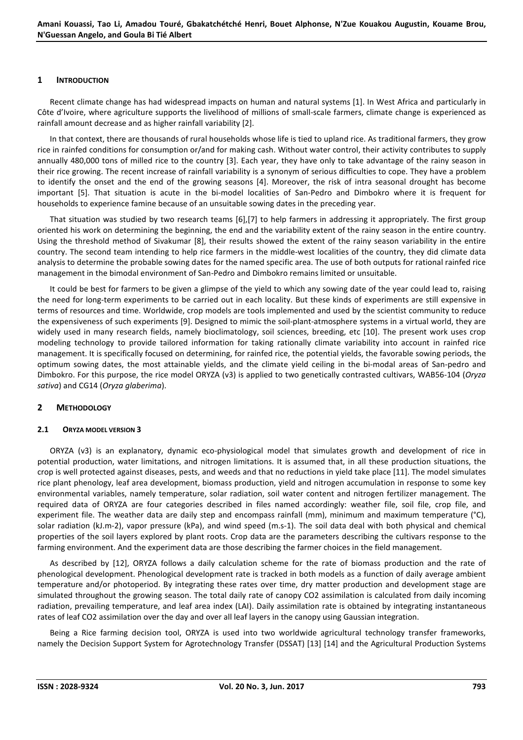# **1 INTRODUCTION**

Recent climate change has had widespread impacts on human and natural systems [1]. In West Africa and particularly in Côte d'Ivoire, where agriculture supports the livelihood of millions of small-scale farmers, climate change is experienced as rainfall amount decrease and as higher rainfall variability [2].

In that context, there are thousands of rural households whose life is tied to upland rice. As traditional farmers, they grow rice in rainfed conditions for consumption or/and for making cash. Without water control, their activity contributes to supply annually 480,000 tons of milled rice to the country [3]. Each year, they have only to take advantage of the rainy season in their rice growing. The recent increase of rainfall variability is a synonym of serious difficulties to cope. They have a problem to identify the onset and the end of the growing seasons [4]. Moreover, the risk of intra seasonal drought has become important [5]. That situation is acute in the bi-model localities of San-Pedro and Dimbokro where it is frequent for households to experience famine because of an unsuitable sowing dates in the preceding year.

That situation was studied by two research teams [6],[7] to help farmers in addressing it appropriately. The first group oriented his work on determining the beginning, the end and the variability extent of the rainy season in the entire country. Using the threshold method of Sivakumar [8], their results showed the extent of the rainy season variability in the entire country. The second team intending to help rice farmers in the middle-west localities of the country, they did climate data analysis to determine the probable sowing dates for the named specific area. The use of both outputs for rational rainfed rice management in the bimodal environment of San-Pedro and Dimbokro remains limited or unsuitable.

It could be best for farmers to be given a glimpse of the yield to which any sowing date of the year could lead to, raising the need for long-term experiments to be carried out in each locality. But these kinds of experiments are still expensive in terms of resources and time. Worldwide, crop models are tools implemented and used by the scientist community to reduce the expensiveness of such experiments [9]. Designed to mimic the soil-plant-atmosphere systems in a virtual world, they are widely used in many research fields, namely bioclimatology, soil sciences, breeding, etc [10]. The present work uses crop modeling technology to provide tailored information for taking rationally climate variability into account in rainfed rice management. It is specifically focused on determining, for rainfed rice, the potential yields, the favorable sowing periods, the optimum sowing dates, the most attainable yields, and the climate yield ceiling in the bi-modal areas of San-pedro and Dimbokro. For this purpose, the rice model ORYZA (v3) is applied to two genetically contrasted cultivars, WAB56-104 (*Oryza sativa*) and CG14 (*Oryza glaberima*).

# **2 METHODOLOGY**

#### **2.1 ORYZA MODEL VERSION 3**

ORYZA (v3) is an explanatory, dynamic eco-physiological model that simulates growth and development of rice in potential production, water limitations, and nitrogen limitations. It is assumed that, in all these production situations, the crop is well protected against diseases, pests, and weeds and that no reductions in yield take place [11]. The model simulates rice plant phenology, leaf area development, biomass production, yield and nitrogen accumulation in response to some key environmental variables, namely temperature, solar radiation, soil water content and nitrogen fertilizer management. The required data of ORYZA are four categories described in files named accordingly: weather file, soil file, crop file, and experiment file. The weather data are daily step and encompass rainfall (mm), minimum and maximum temperature (°C), solar radiation (kJ.m-2), vapor pressure (kPa), and wind speed (m.s-1). The soil data deal with both physical and chemical properties of the soil layers explored by plant roots. Crop data are the parameters describing the cultivars response to the farming environment. And the experiment data are those describing the farmer choices in the field management.

As described by [12], ORYZA follows a daily calculation scheme for the rate of biomass production and the rate of phenological development. Phenological development rate is tracked in both models as a function of daily average ambient temperature and/or photoperiod. By integrating these rates over time, dry matter production and development stage are simulated throughout the growing season. The total daily rate of canopy CO2 assimilation is calculated from daily incoming radiation, prevailing temperature, and leaf area index (LAI). Daily assimilation rate is obtained by integrating instantaneous rates of leaf CO2 assimilation over the day and over all leaf layers in the canopy using Gaussian integration.

Being a Rice farming decision tool, ORYZA is used into two worldwide agricultural technology transfer frameworks, namely the Decision Support System for Agrotechnology Transfer (DSSAT) [13] [14] and the Agricultural Production Systems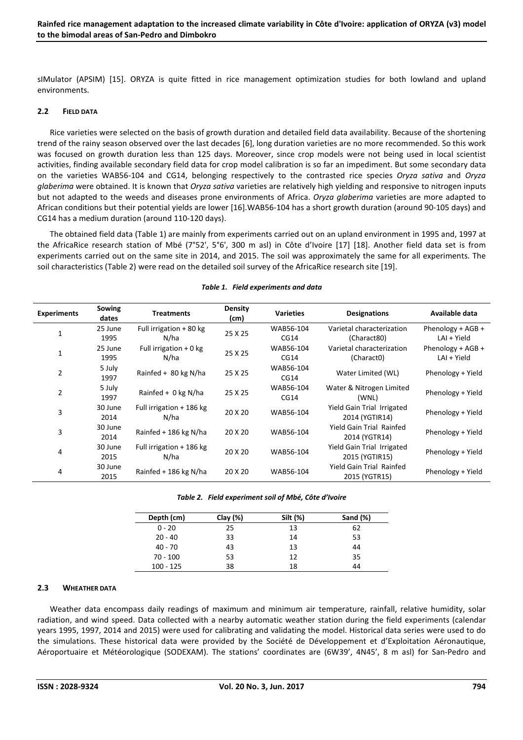sIMulator (APSIM) [15]. ORYZA is quite fitted in rice management optimization studies for both lowland and upland environments.

# **2.2 FIELD DATA**

Rice varieties were selected on the basis of growth duration and detailed field data availability. Because of the shortening trend of the rainy season observed over the last decades [6], long duration varieties are no more recommended. So this work was focused on growth duration less than 125 days. Moreover, since crop models were not being used in local scientist activities, finding available secondary field data for crop model calibration is so far an impediment. But some secondary data on the varieties WAB56-104 and CG14, belonging respectively to the contrasted rice species *Oryza sativa* and *Oryza glaberima* were obtained. It is known that *Oryza sativa* varieties are relatively high yielding and responsive to nitrogen inputs but not adapted to the weeds and diseases prone environments of Africa. *Oryza glaberima* varieties are more adapted to African conditions but their potential yields are lower [16].WAB56-104 has a short growth duration (around 90-105 days) and CG14 has a medium duration (around 110-120 days).

The obtained field data (Table 1) are mainly from experiments carried out on an upland environment in 1995 and, 1997 at the AfricaRice research station of Mbé (7°52', 5°6', 300 m asl) in Côte d'Ivoire [17] [18]. Another field data set is from experiments carried out on the same site in 2014, and 2015. The soil was approximately the same for all experiments. The soil characteristics (Table 2) were read on the detailed soil survey of the AfricaRice research site [19].

| <b>Experiments</b> | Sowing<br>dates | <b>Treatments</b>                        | <b>Density</b><br>(cm) | <b>Varieties</b> | <b>Designations</b>             | Available data      |  |
|--------------------|-----------------|------------------------------------------|------------------------|------------------|---------------------------------|---------------------|--|
| 1                  | 25 June         | Full irrigation + 80 kg                  | 25 X 25                | WAB56-104        | Varietal characterization       | Phenology + AGB +   |  |
|                    | 1995            | N/ha                                     |                        | CG14             | (Charact80)                     | LAI + Yield         |  |
| 1                  | 25 June         | Full irrigation $+0$ kg                  | 25 X 25                | WAB56-104        | Varietal characterization       | Phenology + $AGB +$ |  |
|                    | 1995            | N/ha                                     |                        | CG14             | (Charact0)                      | LAI + Yield         |  |
| 2                  | 5 July          | Rainfed + $80$ kg N/ha                   | 25 X 25                | WAB56-104        |                                 | Phenology + Yield   |  |
|                    | 1997            |                                          |                        | CG14             | Water Limited (WL)              |                     |  |
| 2                  | 5 July          | Rainfed + $0$ kg N/ha                    | 25 X 25                | WAB56-104        | Water & Nitrogen Limited        | Phenology + Yield   |  |
|                    | 1997            |                                          |                        | CG14             | (WNL)                           |                     |  |
| 3                  | 30 June         | Full irrigation + 186 kg                 | 20 X 20                | WAB56-104        | Yield Gain Trial Irrigated      |                     |  |
|                    | 2014            | N/ha                                     |                        |                  | 2014 (YGTIR14)                  | Phenology + Yield   |  |
| 3                  | 30 June         | Rainfed + 186 kg N/ha                    | 20 X 20                | WAB56-104        | <b>Yield Gain Trial Rainfed</b> | Phenology + Yield   |  |
|                    | 2014            |                                          |                        |                  | 2014 (YGTR14)                   |                     |  |
| 4                  | 30 June         | Full irrigation + 186 kg<br>N/ha<br>2015 | 20 X 20                | WAB56-104        | Yield Gain Trial Irrigated      | Phenology + Yield   |  |
|                    |                 |                                          |                        |                  | 2015 (YGTIR15)                  |                     |  |
| 4                  | 30 June<br>2015 |                                          |                        | WAB56-104        | Yield Gain Trial Rainfed        |                     |  |
|                    |                 | Rainfed + 186 kg N/ha                    | 20 X 20                |                  | 2015 (YGTR15)                   | Phenology + Yield   |  |

#### *Table 1. Field experiments and data*

#### *Table 2. Field experiment soil of Mbé, Côte d'Ivoire*

| Depth (cm)  | Clay $(\%)$ | Silt (%) | Sand (%) |
|-------------|-------------|----------|----------|
| $0 - 20$    | 25          | 13       | 62       |
| $20 - 40$   | 33          | 14       | 53       |
| $40 - 70$   | 43          | 13       | 44       |
| $70 - 100$  | 53          | 12       | 35       |
| $100 - 125$ | 38          | 18       | 44       |

# **2.3 WHEATHER DATA**

Weather data encompass daily readings of maximum and minimum air temperature, rainfall, relative humidity, solar radiation, and wind speed. Data collected with a nearby automatic weather station during the field experiments (calendar years 1995, 1997, 2014 and 2015) were used for calibrating and validating the model. Historical data series were used to do the simulations. These historical data were provided by the Société de Développement et d'Exploitation Aéronautique, Aéroportuaire et Météorologique (SODEXAM). The stations' coordinates are (6W39', 4N45', 8 m asl) for San-Pedro and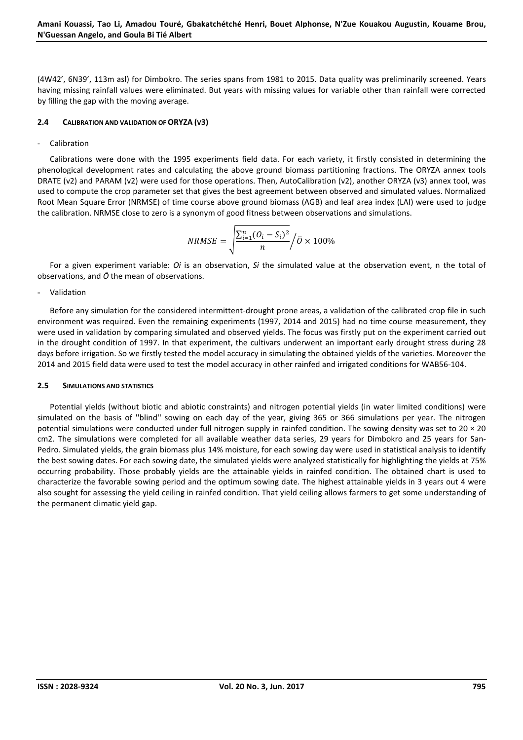(4W42', 6N39', 113m asl) for Dimbokro. The series spans from 1981 to 2015. Data quality was preliminarily screened. Years having missing rainfall values were eliminated. But years with missing values for variable other than rainfall were corrected by filling the gap with the moving average.

# **2.4 CALIBRATION AND VALIDATION OF ORYZA (V3)**

# **Calibration**

Calibrations were done with the 1995 experiments field data. For each variety, it firstly consisted in determining the phenological development rates and calculating the above ground biomass partitioning fractions. The ORYZA annex tools DRATE (v2) and PARAM (v2) were used for those operations. Then, AutoCalibration (v2), another ORYZA (v3) annex tool, was used to compute the crop parameter set that gives the best agreement between observed and simulated values. Normalized Root Mean Square Error (NRMSE) of time course above ground biomass (AGB) and leaf area index (LAI) were used to judge the calibration. NRMSE close to zero is a synonym of good fitness between observations and simulations.

$$
NRMSE = \sqrt{\frac{\sum_{i=1}^{n} (O_i - S_i)^2}{n}} / \bar{O} \times 100\%
$$

For a given experiment variable: *Oi* is an observation, *Si* the simulated value at the observation event, n the total of observations, and *Ō* the mean of observations.

- Validation

Before any simulation for the considered intermittent-drought prone areas, a validation of the calibrated crop file in such environment was required. Even the remaining experiments (1997, 2014 and 2015) had no time course measurement, they were used in validation by comparing simulated and observed yields. The focus was firstly put on the experiment carried out in the drought condition of 1997. In that experiment, the cultivars underwent an important early drought stress during 28 days before irrigation. So we firstly tested the model accuracy in simulating the obtained yields of the varieties. Moreover the 2014 and 2015 field data were used to test the model accuracy in other rainfed and irrigated conditions for WAB56-104.

# **2.5 SIMULATIONS AND STATISTICS**

Potential yields (without biotic and abiotic constraints) and nitrogen potential yields (in water limited conditions) were simulated on the basis of ''blind'' sowing on each day of the year, giving 365 or 366 simulations per year. The nitrogen potential simulations were conducted under full nitrogen supply in rainfed condition. The sowing density was set to  $20 \times 20$ cm2. The simulations were completed for all available weather data series, 29 years for Dimbokro and 25 years for San-Pedro. Simulated yields, the grain biomass plus 14% moisture, for each sowing day were used in statistical analysis to identify the best sowing dates. For each sowing date, the simulated yields were analyzed statistically for highlighting the yields at 75% occurring probability. Those probably yields are the attainable yields in rainfed condition. The obtained chart is used to characterize the favorable sowing period and the optimum sowing date. The highest attainable yields in 3 years out 4 were also sought for assessing the yield ceiling in rainfed condition. That yield ceiling allows farmers to get some understanding of the permanent climatic yield gap.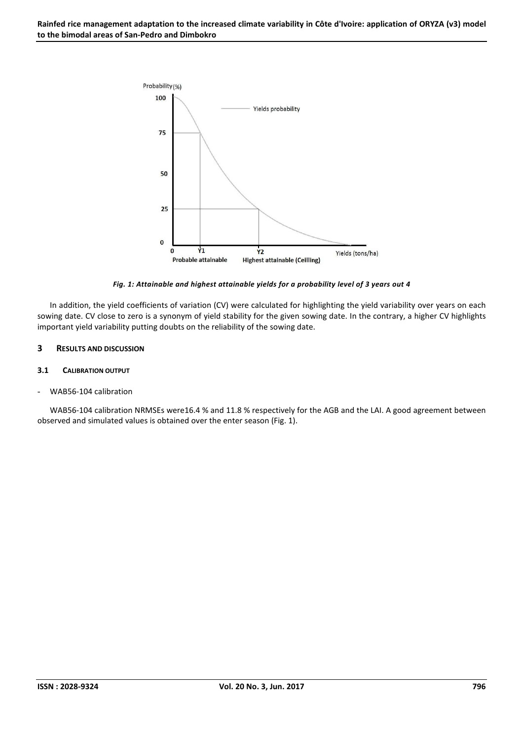

*Fig. 1: Attainable and highest attainable yields for a probability level of 3 years out 4* 

In addition, the yield coefficients of variation (CV) were calculated for highlighting the yield variability over years on each sowing date. CV close to zero is a synonym of yield stability for the given sowing date. In the contrary, a higher CV highlights important yield variability putting doubts on the reliability of the sowing date.

# **3 RESULTS AND DISCUSSION**

# **3.1 CALIBRATION OUTPUT**

- WAB56-104 calibration

WAB56-104 calibration NRMSEs were16.4 % and 11.8 % respectively for the AGB and the LAI. A good agreement between observed and simulated values is obtained over the enter season (Fig. 1).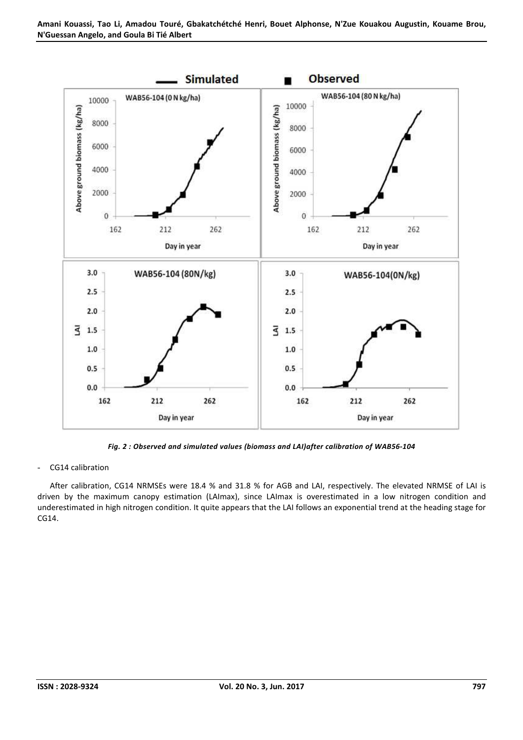

*Fig. 2 : Observed and simulated values (biomass and LAI)after calibration of WAB56-104* 

- CG14 calibration

After calibration, CG14 NRMSEs were 18.4 % and 31.8 % for AGB and LAI, respectively. The elevated NRMSE of LAI is driven by the maximum canopy estimation (LAImax), since LAImax is overestimated in a low nitrogen condition and underestimated in high nitrogen condition. It quite appears that the LAI follows an exponential trend at the heading stage for CG14.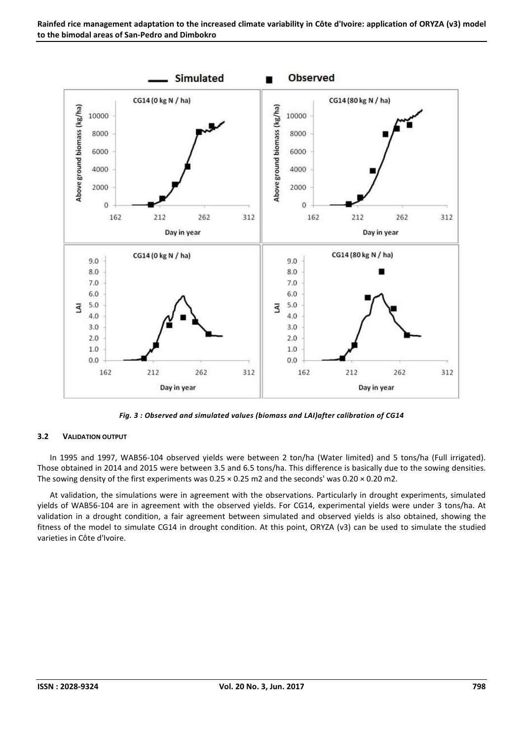

*Fig. 3 : Observed and simulated values (biomass and LAI)after calibration of CG14* 

# **3.2 VALIDATION OUTPUT**

In 1995 and 1997, WAB56-104 observed yields were between 2 ton/ha (Water limited) and 5 tons/ha (Full irrigated). Those obtained in 2014 and 2015 were between 3.5 and 6.5 tons/ha. This difference is basically due to the sowing densities. The sowing density of the first experiments was  $0.25 \times 0.25$  m2 and the seconds' was  $0.20 \times 0.20$  m2.

At validation, the simulations were in agreement with the observations. Particularly in drought experiments, simulated yields of WAB56-104 are in agreement with the observed yields. For CG14, experimental yields were under 3 tons/ha. At validation in a drought condition, a fair agreement between simulated and observed yields is also obtained, showing the fitness of the model to simulate CG14 in drought condition. At this point, ORYZA (v3) can be used to simulate the studied varieties in Côte d'Ivoire.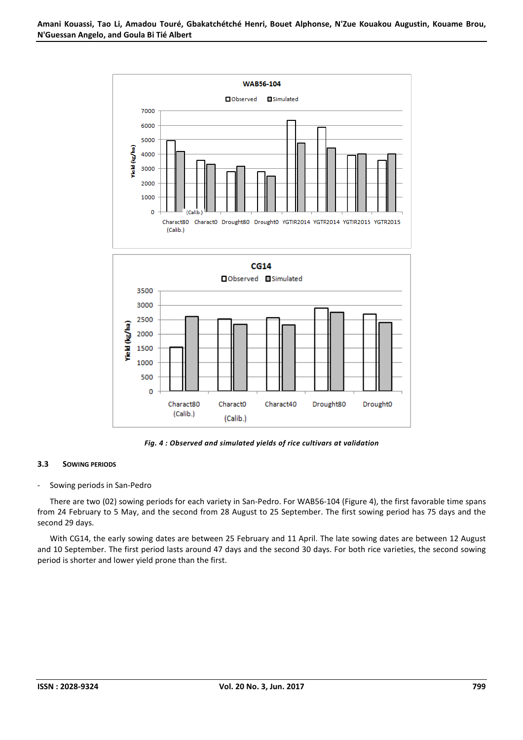

*Fig. 4 : Observed and simulated yields of rice cultivars at validation* 

# **3.3 SOWING PERIODS**

# - Sowing periods in San-Pedro

There are two (02) sowing periods for each variety in San-Pedro. For WAB56-104 (Figure 4), the first favorable time spans from 24 February to 5 May, and the second from 28 August to 25 September. The first sowing period has 75 days and the second 29 days.

With CG14, the early sowing dates are between 25 February and 11 April. The late sowing dates are between 12 August and 10 September. The first period lasts around 47 days and the second 30 days. For both rice varieties, the second sowing period is shorter and lower yield prone than the first.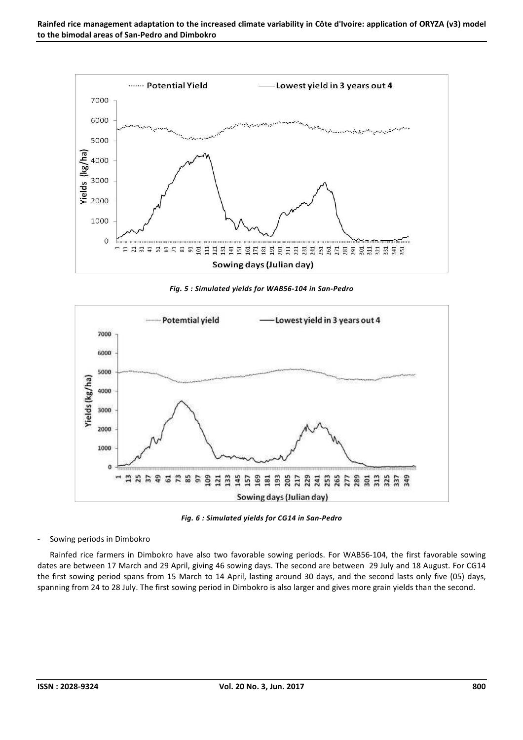

*Fig. 5 : Simulated yields for WAB56-104 in San-Pedro* 



*Fig. 6 : Simulated yields for CG14 in San-Pedro* 

Sowing periods in Dimbokro

Rainfed rice farmers in Dimbokro have also two favorable sowing periods. For WAB56-104, the first favorable sowing dates are between 17 March and 29 April, giving 46 sowing days. The second are between 29 July and 18 August. For CG14 the first sowing period spans from 15 March to 14 April, lasting around 30 days, and the second lasts only five (05) days, spanning from 24 to 28 July. The first sowing period in Dimbokro is also larger and gives more grain yields than the second.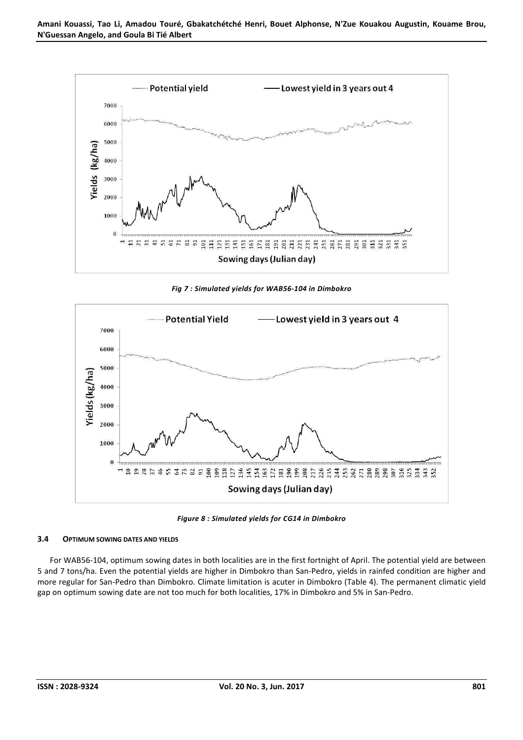

*Fig 7 : Simulated yields for WAB56-104 in Dimbokro* 



*Figure 8 : Simulated yields for CG14 in Dimbokro* 

#### **3.4 OPTIMUM SOWING DATES AND YIELDS**

For WAB56-104, optimum sowing dates in both localities are in the first fortnight of April. The potential yield are between 5 and 7 tons/ha. Even the potential yields are higher in Dimbokro than San-Pedro, yields in rainfed condition are higher and more regular for San-Pedro than Dimbokro. Climate limitation is acuter in Dimbokro (Table 4). The permanent climatic yield gap on optimum sowing date are not too much for both localities, 17% in Dimbokro and 5% in San-Pedro.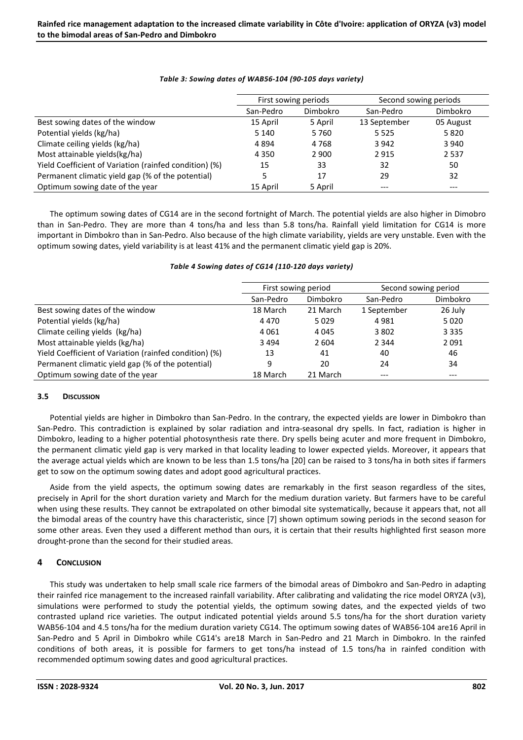|                                                        | First sowing periods |          | Second sowing periods |           |
|--------------------------------------------------------|----------------------|----------|-----------------------|-----------|
|                                                        | San-Pedro            | Dimbokro | San-Pedro             | Dimbokro  |
| Best sowing dates of the window                        | 15 April             | 5 April  | 13 September          | 05 August |
| Potential yields (kg/ha)                               | 5 1 4 0              | 5760     | 5 5 2 5               | 5820      |
| Climate ceiling yields (kg/ha)                         | 4894                 | 4768     | 3 9 4 2               | 3 9 4 0   |
| Most attainable yields(kg/ha)                          | 4 3 5 0              | 2 9 0 0  | 2915                  | 2 5 3 7   |
| Yield Coefficient of Variation (rainfed condition) (%) | 15                   | 33       | 32                    | 50        |
| Permanent climatic yield gap (% of the potential)      |                      | 17       | 29                    | 32        |
| Optimum sowing date of the year                        | 15 April             | 5 April  | ---                   | $---$     |

# *Table 3: Sowing dates of WAB56-104 (90-105 days variety)*

The optimum sowing dates of CG14 are in the second fortnight of March. The potential yields are also higher in Dimobro than in San-Pedro. They are more than 4 tons/ha and less than 5.8 tons/ha. Rainfall yield limitation for CG14 is more important in Dimbokro than in San-Pedro. Also because of the high climate variability, yields are very unstable. Even with the optimum sowing dates, yield variability is at least 41% and the permanent climatic yield gap is 20%.

|                                                        | First sowing period |          | Second sowing period |          |
|--------------------------------------------------------|---------------------|----------|----------------------|----------|
|                                                        | San-Pedro           | Dimbokro | San-Pedro            | Dimbokro |
| Best sowing dates of the window                        | 18 March            | 21 March | 1 September          | 26 July  |
| Potential yields (kg/ha)                               | 4 4 7 0             | 5029     | 4981                 | 5020     |
| Climate ceiling yields (kg/ha)                         | 4 0 6 1             | 4 0 4 5  | 3 802                | 3 3 3 5  |
| Most attainable yields (kg/ha)                         | 3494                | 2 604    | 2 3 4 4              | 2 0 9 1  |
| Yield Coefficient of Variation (rainfed condition) (%) | 13                  | 41       | 40                   | 46       |
| Permanent climatic yield gap (% of the potential)      | 9                   | 20       | 24                   | 34       |
| Optimum sowing date of the year                        | 18 March            | 21 March |                      |          |

# *Table 4 Sowing dates of CG14 (110-120 days variety)*

# **3.5 DISCUSSION**

Potential yields are higher in Dimbokro than San-Pedro. In the contrary, the expected yields are lower in Dimbokro than San-Pedro. This contradiction is explained by solar radiation and intra-seasonal dry spells. In fact, radiation is higher in Dimbokro, leading to a higher potential photosynthesis rate there. Dry spells being acuter and more frequent in Dimbokro, the permanent climatic yield gap is very marked in that locality leading to lower expected yields. Moreover, it appears that the average actual yields which are known to be less than 1.5 tons/ha [20] can be raised to 3 tons/ha in both sites if farmers get to sow on the optimum sowing dates and adopt good agricultural practices.

Aside from the yield aspects, the optimum sowing dates are remarkably in the first season regardless of the sites, precisely in April for the short duration variety and March for the medium duration variety. But farmers have to be careful when using these results. They cannot be extrapolated on other bimodal site systematically, because it appears that, not all the bimodal areas of the country have this characteristic, since [7] shown optimum sowing periods in the second season for some other areas. Even they used a different method than ours, it is certain that their results highlighted first season more drought-prone than the second for their studied areas.

# **4 CONCLUSION**

This study was undertaken to help small scale rice farmers of the bimodal areas of Dimbokro and San-Pedro in adapting their rainfed rice management to the increased rainfall variability. After calibrating and validating the rice model ORYZA (v3), simulations were performed to study the potential yields, the optimum sowing dates, and the expected yields of two contrasted upland rice varieties. The output indicated potential yields around 5.5 tons/ha for the short duration variety WAB56-104 and 4.5 tons/ha for the medium duration variety CG14. The optimum sowing dates of WAB56-104 are16 April in San-Pedro and 5 April in Dimbokro while CG14's are18 March in San-Pedro and 21 March in Dimbokro. In the rainfed conditions of both areas, it is possible for farmers to get tons/ha instead of 1.5 tons/ha in rainfed condition with recommended optimum sowing dates and good agricultural practices.